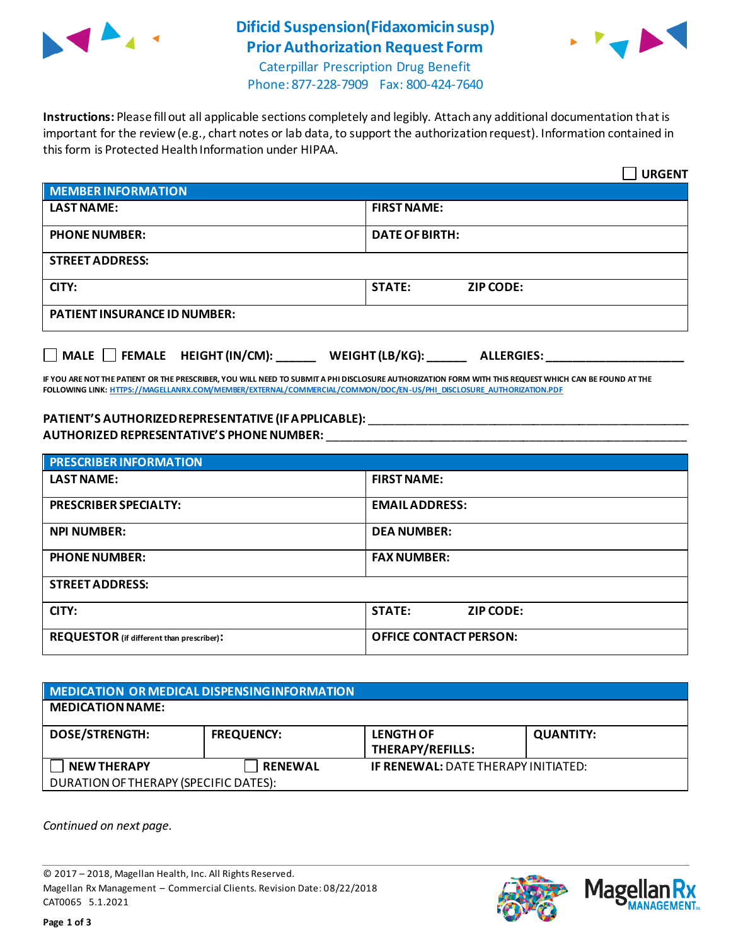

## **Dificid Suspension(Fidaxomicin susp) Prior Authorization Request Form**



Caterpillar Prescription Drug Benefit Phone: 877-228-7909 Fax: 800-424-7640

**Instructions:** Please fill out all applicable sections completely and legibly. Attach any additional documentation that is important for the review (e.g., chart notes or lab data, to support the authorization request). Information contained in this form is Protected Health Information under HIPAA.

|                                                                                   | <b>URGENT</b>                     |  |  |
|-----------------------------------------------------------------------------------|-----------------------------------|--|--|
| <b>MEMBER INFORMATION</b>                                                         |                                   |  |  |
| <b>LAST NAME:</b>                                                                 | <b>FIRST NAME:</b>                |  |  |
| <b>PHONE NUMBER:</b>                                                              | <b>DATE OF BIRTH:</b>             |  |  |
| <b>STREET ADDRESS:</b>                                                            |                                   |  |  |
| CITY:                                                                             | <b>STATE:</b><br><b>ZIP CODE:</b> |  |  |
| <b>PATIENT INSURANCE ID NUMBER:</b>                                               |                                   |  |  |
| $\Box$ MALE $\Box$ FEMALE HEIGHT (IN/CM):<br>WEIGHT (LB/KG):<br><b>ALLERGIES:</b> |                                   |  |  |

**IF YOU ARE NOT THE PATIENT OR THE PRESCRIBER, YOU WILL NEED TO SUBMIT A PHI DISCLOSURE AUTHORIZATION FORM WITH THIS REQUEST WHICH CAN BE FOUND AT THE FOLLOWING LINK[: HTTPS://MAGELLANRX.COM/MEMBER/EXTERNAL/COMMERCIAL/COMMON/DOC/EN-US/PHI\\_DISCLOSURE\\_AUTHORIZATION.PDF](https://magellanrx.com/member/external/commercial/common/doc/en-us/PHI_Disclosure_Authorization.pdf)**

## **PATIENT'S AUTHORIZED REPRESENTATIVE (IF APPLICABLE):** \_\_\_\_\_\_\_\_\_\_\_\_\_\_\_\_\_\_\_\_\_\_\_\_\_\_\_\_\_\_\_\_\_\_\_\_\_\_\_\_\_\_\_\_\_\_\_\_\_ **AUTHORIZED REPRESENTATIVE'S PHONE NUMBER:** \_\_\_\_\_\_\_\_\_\_\_\_\_\_\_\_\_\_\_\_\_\_\_\_\_\_\_\_\_\_\_\_\_\_\_\_\_\_\_\_\_\_\_\_\_\_\_\_\_\_\_\_\_\_\_

| <b>PRESCRIBER INFORMATION</b>             |                               |  |  |
|-------------------------------------------|-------------------------------|--|--|
| <b>LAST NAME:</b>                         | <b>FIRST NAME:</b>            |  |  |
| <b>PRESCRIBER SPECIALTY:</b>              | <b>EMAIL ADDRESS:</b>         |  |  |
| <b>NPI NUMBER:</b>                        | <b>DEA NUMBER:</b>            |  |  |
| <b>PHONE NUMBER:</b>                      | <b>FAX NUMBER:</b>            |  |  |
| <b>STREET ADDRESS:</b>                    |                               |  |  |
| CITY:                                     | <b>STATE:</b><br>ZIP CODE:    |  |  |
| REQUESTOR (if different than prescriber): | <b>OFFICE CONTACT PERSON:</b> |  |  |

| MEDICATION OR MEDICAL DISPENSING INFORMATION |                   |                                            |                  |  |  |
|----------------------------------------------|-------------------|--------------------------------------------|------------------|--|--|
| <b>MEDICATION NAME:</b>                      |                   |                                            |                  |  |  |
| <b>DOSE/STRENGTH:</b>                        | <b>FREQUENCY:</b> | <b>LENGTH OF</b><br>THERAPY/REFILLS:       | <b>QUANTITY:</b> |  |  |
| <b>NEW THERAPY</b>                           | <b>RENEWAL</b>    | <b>IF RENEWAL: DATE THERAPY INITIATED:</b> |                  |  |  |
| DURATION OF THERAPY (SPECIFIC DATES):        |                   |                                            |                  |  |  |

*Continued on next page.*

© 2017 – 2018, Magellan Health, Inc. All Rights Reserved. Magellan Rx Management – Commercial Clients. Revision Date: 08/22/2018 CAT0065 5.1.2021



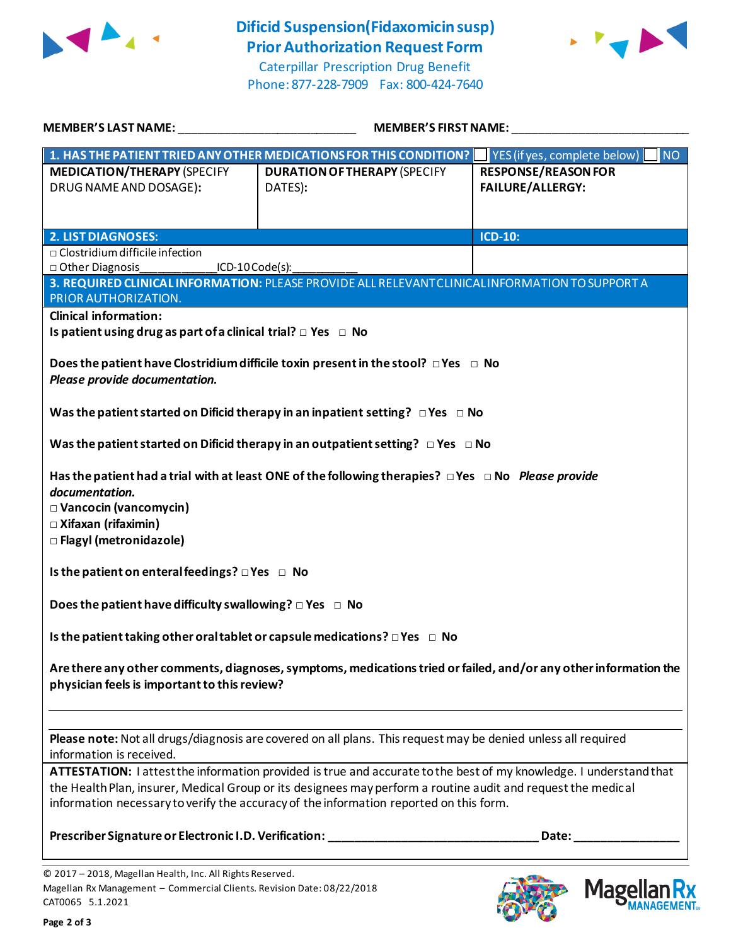

**Dificid Suspension(Fidaxomicin susp) Prior Authorization Request Form**



Caterpillar Prescription Drug Benefit Phone: 877-228-7909 Fax: 800-424-7640

| <b>MEMBER'S LAST NAME:</b> NAME                                                                                    | <b>MEMBER'S FIRST NAME:</b>                                                                                   |                                                                                                                                                                                                                                |  |  |  |
|--------------------------------------------------------------------------------------------------------------------|---------------------------------------------------------------------------------------------------------------|--------------------------------------------------------------------------------------------------------------------------------------------------------------------------------------------------------------------------------|--|--|--|
|                                                                                                                    | 1. HAS THE PATIENT TRIED ANY OTHER MEDICATIONS FOR THIS CONDITION?                                            | $\blacksquare$ YES (if yes, complete below)<br><b>NO</b>                                                                                                                                                                       |  |  |  |
| <b>MEDICATION/THERAPY (SPECIFY</b>                                                                                 | <b>DURATION OF THERAPY (SPECIFY</b>                                                                           | <b>RESPONSE/REASON FOR</b>                                                                                                                                                                                                     |  |  |  |
|                                                                                                                    |                                                                                                               | <b>FAILURE/ALLERGY:</b>                                                                                                                                                                                                        |  |  |  |
| DRUG NAME AND DOSAGE):                                                                                             | DATES):                                                                                                       |                                                                                                                                                                                                                                |  |  |  |
|                                                                                                                    |                                                                                                               |                                                                                                                                                                                                                                |  |  |  |
|                                                                                                                    |                                                                                                               |                                                                                                                                                                                                                                |  |  |  |
| <b>2. LIST DIAGNOSES:</b>                                                                                          |                                                                                                               | <b>ICD-10:</b>                                                                                                                                                                                                                 |  |  |  |
| □ Other Diagnosis                                                                                                  | $\Box$ Clostridium difficile infection<br>ICD-10 Code(s):                                                     |                                                                                                                                                                                                                                |  |  |  |
|                                                                                                                    | 3. REQUIRED CLINICAL INFORMATION: PLEASE PROVIDE ALL RELEVANT CLINICAL INFORMATION TO SUPPORT A               |                                                                                                                                                                                                                                |  |  |  |
| PRIOR AUTHORIZATION.                                                                                               |                                                                                                               |                                                                                                                                                                                                                                |  |  |  |
| <b>Clinical information:</b>                                                                                       |                                                                                                               |                                                                                                                                                                                                                                |  |  |  |
| Is patient using drug as part of a clinical trial? $\Box$ Yes $\Box$ No                                            |                                                                                                               |                                                                                                                                                                                                                                |  |  |  |
|                                                                                                                    |                                                                                                               |                                                                                                                                                                                                                                |  |  |  |
|                                                                                                                    | Does the patient have Clostridium difficile toxin present in the stool? $\Box$ Yes $\Box$ No                  |                                                                                                                                                                                                                                |  |  |  |
| Please provide documentation.                                                                                      |                                                                                                               |                                                                                                                                                                                                                                |  |  |  |
|                                                                                                                    |                                                                                                               |                                                                                                                                                                                                                                |  |  |  |
|                                                                                                                    | Was the patient started on Dificid therapy in an inpatient setting? $\Box$ Yes $\Box$ No                      |                                                                                                                                                                                                                                |  |  |  |
|                                                                                                                    |                                                                                                               |                                                                                                                                                                                                                                |  |  |  |
|                                                                                                                    | Was the patient started on Dificid therapy in an outpatient setting? $\Box$ Yes $\Box$ No                     |                                                                                                                                                                                                                                |  |  |  |
|                                                                                                                    |                                                                                                               |                                                                                                                                                                                                                                |  |  |  |
|                                                                                                                    | Has the patient had a trial with at least ONE of the following therapies? $\Box$ Yes $\Box$ No Please provide |                                                                                                                                                                                                                                |  |  |  |
| documentation.                                                                                                     |                                                                                                               |                                                                                                                                                                                                                                |  |  |  |
| □ Vancocin (vancomycin)                                                                                            |                                                                                                               |                                                                                                                                                                                                                                |  |  |  |
|                                                                                                                    |                                                                                                               |                                                                                                                                                                                                                                |  |  |  |
| □ Xifaxan (rifaximin)                                                                                              |                                                                                                               |                                                                                                                                                                                                                                |  |  |  |
| □ Flagyl (metronidazole)                                                                                           |                                                                                                               |                                                                                                                                                                                                                                |  |  |  |
| Is the patient on enteral feedings? $\Box$ Yes $\Box$ No                                                           |                                                                                                               |                                                                                                                                                                                                                                |  |  |  |
|                                                                                                                    |                                                                                                               |                                                                                                                                                                                                                                |  |  |  |
| Does the patient have difficulty swallowing? $\Box$ Yes $\Box$ No                                                  |                                                                                                               |                                                                                                                                                                                                                                |  |  |  |
|                                                                                                                    |                                                                                                               |                                                                                                                                                                                                                                |  |  |  |
|                                                                                                                    |                                                                                                               |                                                                                                                                                                                                                                |  |  |  |
| Is the patient taking other oral tablet or capsule medications? $\Box$ Yes $\Box$ No                               |                                                                                                               |                                                                                                                                                                                                                                |  |  |  |
|                                                                                                                    |                                                                                                               |                                                                                                                                                                                                                                |  |  |  |
| Are there any other comments, diagnoses, symptoms, medications tried or failed, and/or any other information the   |                                                                                                               |                                                                                                                                                                                                                                |  |  |  |
| physician feels is important to this review?                                                                       |                                                                                                               |                                                                                                                                                                                                                                |  |  |  |
|                                                                                                                    |                                                                                                               |                                                                                                                                                                                                                                |  |  |  |
|                                                                                                                    |                                                                                                               |                                                                                                                                                                                                                                |  |  |  |
| Please note: Not all drugs/diagnosis are covered on all plans. This request may be denied unless all required      |                                                                                                               |                                                                                                                                                                                                                                |  |  |  |
| information is received.                                                                                           |                                                                                                               |                                                                                                                                                                                                                                |  |  |  |
| ATTESTATION: I attest the information provided is true and accurate to the best of my knowledge. I understand that |                                                                                                               |                                                                                                                                                                                                                                |  |  |  |
| the Health Plan, insurer, Medical Group or its designees may perform a routine audit and request the medical       |                                                                                                               |                                                                                                                                                                                                                                |  |  |  |
| information necessary to verify the accuracy of the information reported on this form.                             |                                                                                                               |                                                                                                                                                                                                                                |  |  |  |
|                                                                                                                    |                                                                                                               |                                                                                                                                                                                                                                |  |  |  |
|                                                                                                                    | Prescriber Signature or Electronic I.D. Verification: __________________________                              | Date: the contract of the contract of the contract of the contract of the contract of the contract of the contract of the contract of the contract of the contract of the contract of the contract of the contract of the cont |  |  |  |
|                                                                                                                    |                                                                                                               |                                                                                                                                                                                                                                |  |  |  |
| @ 2017 - 2018, Magallan Health, Inc. All Pights Peserved                                                           |                                                                                                               |                                                                                                                                                                                                                                |  |  |  |

© 2017 – 2018, Magellan Health, Inc. All Rights Reserved. Magellan Rx Management – Commercial Clients. Revision Date: 08/22/2018 CAT0065 5.1.2021



**Magellar** 

**Ilan Rx<br>ANAGEMENT...**